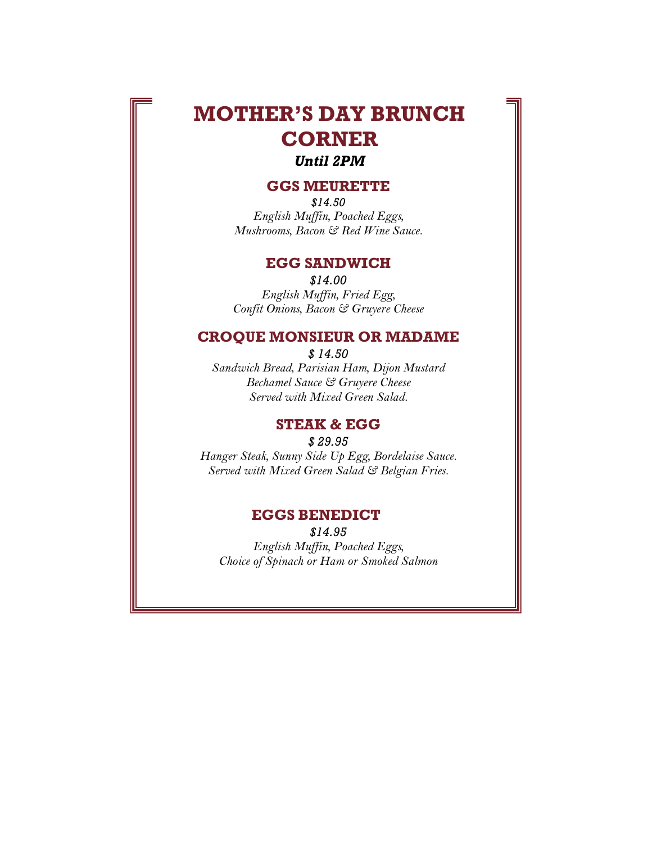# **MOTHER'S DAY BRUNCH CORNER**

## *Until 2PM*

#### **GGS MEURETTE**

*\$14.50 English Muffin, Poached Eggs, Mushrooms, Bacon & Red Wine Sauce.*

#### **EGG SANDWICH**

*\$14.00 English Muffin, Fried Egg, Confit Onions, Bacon & Gruyere Cheese*

## **CROQUE MONSIEUR OR MADAME**

*\$ 14.50*

*Sandwich Bread, Parisian Ham, Dijon Mustard Bechamel Sauce & Gruyere Cheese Served with Mixed Green Salad.*

# **STEAK & EGG**

*\$ 29.95 Hanger Steak, Sunny Side Up Egg, Bordelaise Sauce. Served with Mixed Green Salad & Belgian Fries.*

#### **EGGS BENEDICT**

**CHEESE OMER** 

*\$14.95 English Muffin, Poached Eggs, Choice of Spinach or Ham or Smoked Salmon*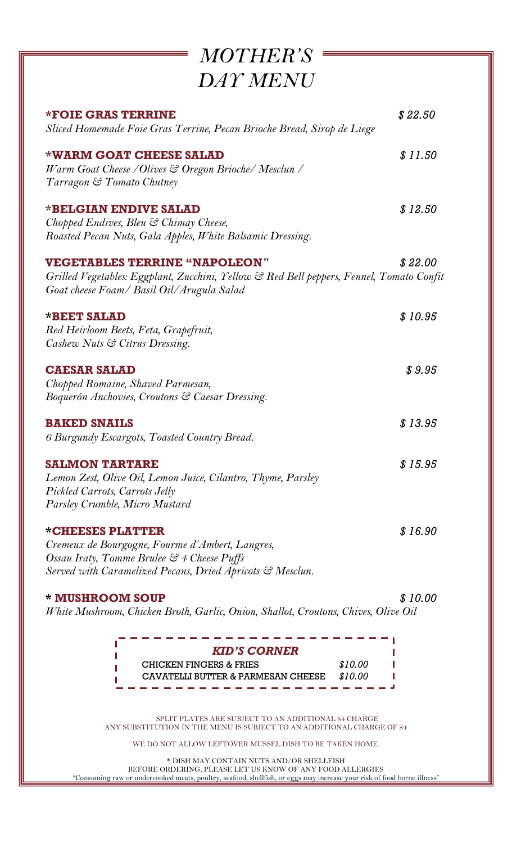| <b>MOTHER'S</b>                                                                                                                                                                |         |
|--------------------------------------------------------------------------------------------------------------------------------------------------------------------------------|---------|
| DAY MENU                                                                                                                                                                       |         |
| <b>*FOIE GRAS TERRINE</b><br>Sliced Homemade Foie Gras Terrine, Pecan Brioche Bread, Sirop de Liege                                                                            | \$22.50 |
| <b>*WARM GOAT CHEESE SALAD</b><br>Warm Goat Cheese / Olives & Oregon Brioche/ Mesclun /<br>Tarragon & Tomato Chutney                                                           | \$11.50 |
| *BELGIAN ENDIVE SALAD<br>Chopped Endives, Bleu & Chimay Cheese,<br>Roasted Pecan Nuts, Gala Apples, White Balsamic Dressing.                                                   | \$12.50 |
| <b>VEGETABLES TERRINE "NAPOLEON"</b><br>Grilled Vegetables: Eggplant, Zucchini, Yellow & Red Bell peppers, Fennel, Tomato Confit<br>Goat cheese Foam/ Basil Oil/Arugula Salad  | \$22.00 |
| *BEET SALAD<br>Red Heirloom Beets, Feta, Grapefruit,<br>Cashew Nuts & Citrus Dressing.                                                                                         | \$10.95 |
| <b>CAESAR SALAD</b><br>Chopped Romaine, Shaved Parmesan,<br>Boquerón Anchovies, Croutons & Caesar Dressing.                                                                    | \$9.95  |
| <b>BAKED SNAILS</b><br>6 Burgundy Escargots, Toasted Country Bread.                                                                                                            | \$13.95 |
| <b>SALMON TARTARE</b><br>Lemon Zest, Olive Oil, Lemon Juice, Cilantro, Thyme, Parsley<br>Pickled Carrots, Carrots Jelly<br>Parsley Crumble, Micro Mustard                      | \$15.95 |
| *CHEESES PLATTER<br>Cremeux de Bourgogne, Fourme d'Ambert, Langres,<br>Ossau Iraty, Tomme Brulee & 4 Cheese Puffs<br>Served with Caramelized Pecans, Dried Apricots & Mesclun. | \$16.90 |
| * MUSHROOM SOUP<br>White Mushroom, Chicken Broth, Garlic, Onion, Shallot, Croutons, Chives, Olive Oil                                                                          | \$10.00 |

-----------------*KID'S CORNER* CHICKEN FINGERS & FRIES *\$10.00* п L CAVATELLI BUTTER & PARMESAN CHEESE *\$10.00*п the contract of the contract of the contract of  $\Delta$ ------

SPLIT PLATES ARE SUBJECT TO AN ADDITIONAL \$4 CHARGE ANY SUBSTITUTION IN THE MENU IS SUBJECT TO AN ADDITIONAL CHARGE OF \$4

WE DO NOT ALLOW LEFTOVER MUSSEL DISH TO BE TAKEN HOME.

\* DISH MAY CONTAIN NUTS AND/OR SHELLFISH BEFORE ORDERING, PLEASE LET US KNOW OF ANY FOOD ALLERGIES "Consuming raw or undercooked meats, poultry, seafood, shellfish, or eggs may increase your risk of food borne illness"